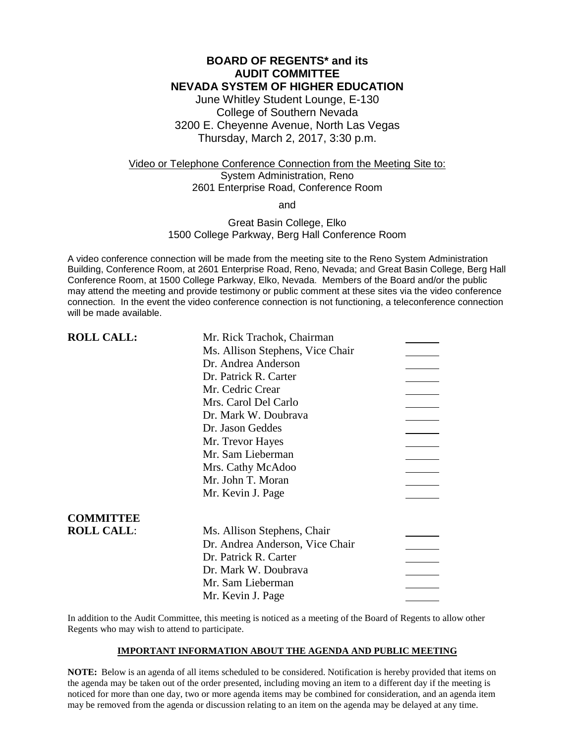### **BOARD OF REGENTS\* and its AUDIT COMMITTEE NEVADA SYSTEM OF HIGHER EDUCATION**

June Whitley Student Lounge, E-130 College of Southern Nevada 3200 E. Cheyenne Avenue, North Las Vegas Thursday, March 2, 2017, 3:30 p.m.

### Video or Telephone Conference Connection from the Meeting Site to: System Administration, Reno 2601 Enterprise Road, Conference Room

and

### Great Basin College, Elko 1500 College Parkway, Berg Hall Conference Room

A video conference connection will be made from the meeting site to the Reno System Administration Building, Conference Room, at 2601 Enterprise Road, Reno, Nevada; and Great Basin College, Berg Hall Conference Room, at 1500 College Parkway, Elko, Nevada. Members of the Board and/or the public may attend the meeting and provide testimony or public comment at these sites via the video conference connection. In the event the video conference connection is not functioning, a teleconference connection will be made available.

| <b>ROLL CALL:</b> | Mr. Rick Trachok, Chairman       |  |
|-------------------|----------------------------------|--|
|                   | Ms. Allison Stephens, Vice Chair |  |
|                   | Dr. Andrea Anderson              |  |
|                   | Dr. Patrick R. Carter            |  |
|                   | Mr. Cedric Crear                 |  |
|                   | Mrs. Carol Del Carlo             |  |
|                   | Dr. Mark W. Doubrava             |  |
|                   | Dr. Jason Geddes                 |  |
|                   | Mr. Trevor Hayes                 |  |
|                   | Mr. Sam Lieberman                |  |
|                   | Mrs. Cathy McAdoo                |  |
|                   | Mr. John T. Moran                |  |
|                   | Mr. Kevin J. Page                |  |
| <b>COMMITTEE</b>  |                                  |  |
| <b>ROLL CALL:</b> | Ms. Allison Stephens, Chair      |  |
|                   | Dr. Andrea Anderson, Vice Chair  |  |
|                   | Dr. Patrick R. Carter            |  |
|                   | Dr. Mark W. Doubrava             |  |
|                   | Mr. Sam Lieberman                |  |
|                   | Mr. Kevin J. Page                |  |
|                   |                                  |  |

In addition to the Audit Committee, this meeting is noticed as a meeting of the Board of Regents to allow other Regents who may wish to attend to participate.

### **IMPORTANT INFORMATION ABOUT THE AGENDA AND PUBLIC MEETING**

**NOTE:** Below is an agenda of all items scheduled to be considered. Notification is hereby provided that items on the agenda may be taken out of the order presented, including moving an item to a different day if the meeting is noticed for more than one day, two or more agenda items may be combined for consideration, and an agenda item may be removed from the agenda or discussion relating to an item on the agenda may be delayed at any time.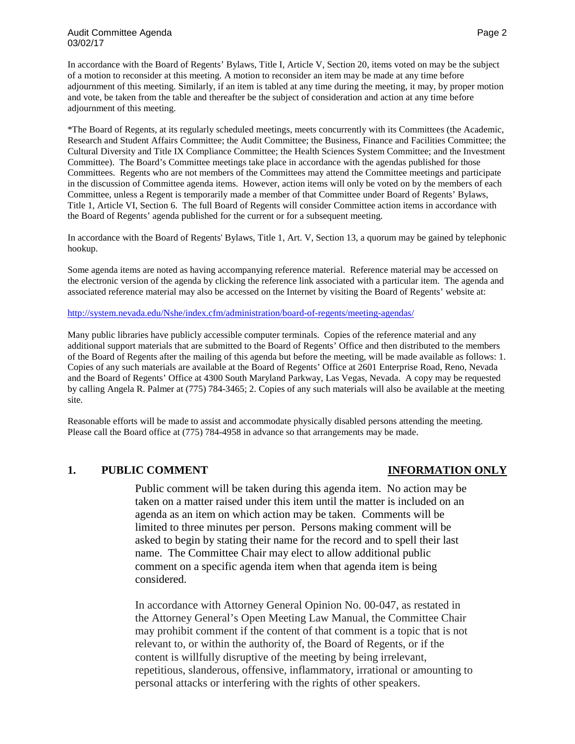### Audit Committee Agenda Page 2 and 2012 12:00 Audit Committee Agenda Page 2 03/02/17

In accordance with the Board of Regents' Bylaws, Title I, Article V, Section 20, items voted on may be the subject of a motion to reconsider at this meeting. A motion to reconsider an item may be made at any time before adjournment of this meeting. Similarly, if an item is tabled at any time during the meeting, it may, by proper motion and vote, be taken from the table and thereafter be the subject of consideration and action at any time before adjournment of this meeting.

\*The Board of Regents, at its regularly scheduled meetings, meets concurrently with its Committees (the Academic, Research and Student Affairs Committee; the Audit Committee; the Business, Finance and Facilities Committee; the Cultural Diversity and Title IX Compliance Committee; the Health Sciences System Committee; and the Investment Committee). The Board's Committee meetings take place in accordance with the agendas published for those Committees. Regents who are not members of the Committees may attend the Committee meetings and participate in the discussion of Committee agenda items. However, action items will only be voted on by the members of each Committee, unless a Regent is temporarily made a member of that Committee under Board of Regents' Bylaws, Title 1, Article VI, Section 6. The full Board of Regents will consider Committee action items in accordance with the Board of Regents' agenda published for the current or for a subsequent meeting.

In accordance with the Board of Regents' Bylaws, Title 1, Art. V, Section 13, a quorum may be gained by telephonic hookup.

Some agenda items are noted as having accompanying reference material. Reference material may be accessed on the electronic version of the agenda by clicking the reference link associated with a particular item. The agenda and associated reference material may also be accessed on the Internet by visiting the Board of Regents' website at:

### <http://system.nevada.edu/Nshe/index.cfm/administration/board-of-regents/meeting-agendas/>

Many public libraries have publicly accessible computer terminals. Copies of the reference material and any additional support materials that are submitted to the Board of Regents' Office and then distributed to the members of the Board of Regents after the mailing of this agenda but before the meeting, will be made available as follows: 1. Copies of any such materials are available at the Board of Regents' Office at 2601 Enterprise Road, Reno, Nevada and the Board of Regents' Office at 4300 South Maryland Parkway, Las Vegas, Nevada. A copy may be requested by calling Angela R. Palmer at (775) 784-3465; 2. Copies of any such materials will also be available at the meeting site.

Reasonable efforts will be made to assist and accommodate physically disabled persons attending the meeting. Please call the Board office at (775) 784-4958 in advance so that arrangements may be made.

### **1. PUBLIC COMMENT INFORMATION ONLY**

Public comment will be taken during this agenda item. No action may be taken on a matter raised under this item until the matter is included on an agenda as an item on which action may be taken. Comments will be limited to three minutes per person. Persons making comment will be asked to begin by stating their name for the record and to spell their last name. The Committee Chair may elect to allow additional public comment on a specific agenda item when that agenda item is being considered.

In accordance with Attorney General Opinion No. 00-047, as restated in the Attorney General's Open Meeting Law Manual, the Committee Chair may prohibit comment if the content of that comment is a topic that is not relevant to, or within the authority of, the Board of Regents, or if the content is willfully disruptive of the meeting by being irrelevant, repetitious, slanderous, offensive, inflammatory, irrational or amounting to personal attacks or interfering with the rights of other speakers.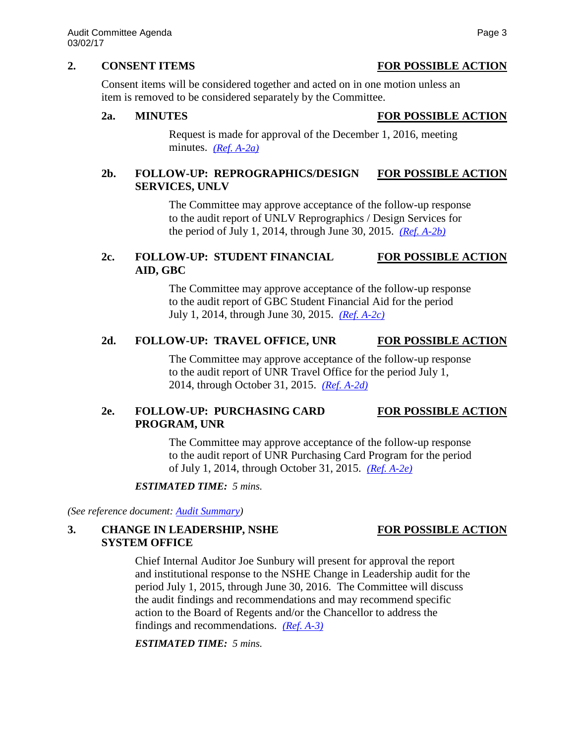### **2. CONSENT ITEMS FOR POSSIBLE ACTION**

Consent items will be considered together and acted on in one motion unless an item is removed to be considered separately by the Committee.

### **2a. MINUTES FOR POSSIBLE ACTION**

Request is made for approval of the December 1, 2016, meeting minutes. *[\(Ref. A-2a\)](http://system.nevada.edu/tasks/sites/Nshe/assets/File/BoardOfRegents/Agendas/2017/mar-mtgs/audit-refs/A-2a.pdf)*

# **2b. FOLLOW-UP: REPROGRAPHICS/DESIGN FOR POSSIBLE ACTION SERVICES, UNLV**

The Committee may approve acceptance of the follow-up response to the audit report of UNLV Reprographics / Design Services for the period of July 1, 2014, through June 30, 2015. *[\(Ref. A-2b\)](http://system.nevada.edu/tasks/sites/Nshe/assets/File/BoardOfRegents/Agendas/2017/mar-mtgs/audit-refs/A-2b.pdf)*

# **2c. FOLLOW-UP: STUDENT FINANCIAL FOR POSSIBLE ACTION AID, GBC**

The Committee may approve acceptance of the follow-up response to the audit report of GBC Student Financial Aid for the period July 1, 2014, through June 30, 2015. *[\(Ref. A-2c\)](http://system.nevada.edu/tasks/sites/Nshe/assets/File/BoardOfRegents/Agendas/2017/mar-mtgs/audit-refs/A-2c.pdf)*

# 2d. FOLLOW-UP: TRAVEL OFFICE, UNR FOR POSSIBLE ACTION

The Committee may approve acceptance of the follow-up response to the audit report of UNR Travel Office for the period July 1, 2014, through October 31, 2015. *[\(Ref. A-2d\)](http://system.nevada.edu/tasks/sites/Nshe/assets/File/BoardOfRegents/Agendas/2017/mar-mtgs/audit-refs/A-2d.pdf)*

# **2e. FOLLOW-UP: PURCHASING CARD FOR POSSIBLE ACTION PROGRAM, UNR**

The Committee may approve acceptance of the follow-up response to the audit report of UNR Purchasing Card Program for the period of July 1, 2014, through October 31, 2015. *[\(Ref. A-2e\)](http://system.nevada.edu/tasks/sites/Nshe/assets/File/BoardOfRegents/Agendas/2017/mar-mtgs/audit-refs/A-2e.pdf)*

### *ESTIMATED TIME: 5 mins.*

*(See reference document: [Audit Summary\)](http://system.nevada.edu/tasks/sites/Nshe/assets/File/BoardOfRegents/Agendas/2017/mar-mtgs/audit-refs/Audit%20Summary.pdf)*

## **3. CHANGE IN LEADERSHIP, NSHE FOR POSSIBLE ACTION SYSTEM OFFICE**

## Chief Internal Auditor Joe Sunbury will present for approval the report and institutional response to the NSHE Change in Leadership audit for the period July 1, 2015, through June 30, 2016. The Committee will discuss the audit findings and recommendations and may recommend specific action to the Board of Regents and/or the Chancellor to address the findings and recommendations. *[\(Ref. A-3\)](http://system.nevada.edu/tasks/sites/Nshe/assets/File/BoardOfRegents/Agendas/2017/mar-mtgs/audit-refs/A-3.pdf)*

*ESTIMATED TIME: 5 mins.*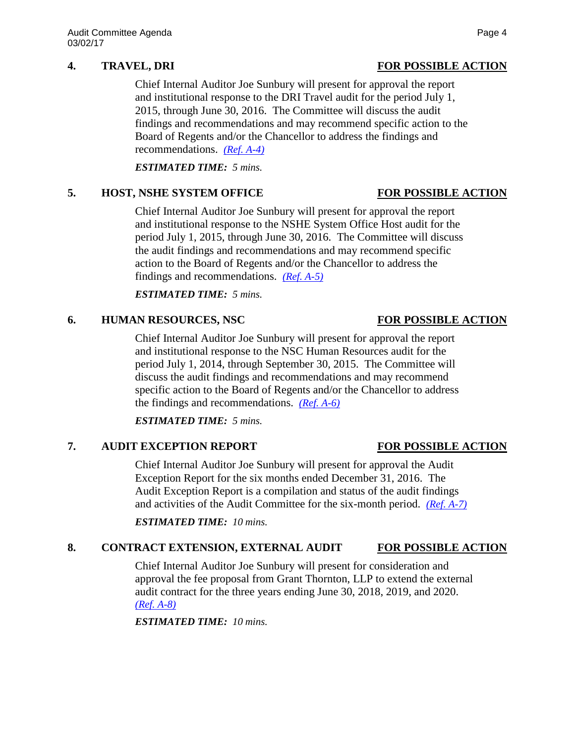Chief Internal Auditor Joe Sunbury will present for approval the report and institutional response to the DRI Travel audit for the period July 1, 2015, through June 30, 2016. The Committee will discuss the audit findings and recommendations and may recommend specific action to the Board of Regents and/or the Chancellor to address the findings and recommendations. *[\(Ref. A-4\)](http://system.nevada.edu/tasks/sites/Nshe/assets/File/BoardOfRegents/Agendas/2017/mar-mtgs/audit-refs/A-4.pdf)*

*ESTIMATED TIME: 5 mins.*

## **5. HOST, NSHE SYSTEM OFFICE FOR POSSIBLE ACTION**

Chief Internal Auditor Joe Sunbury will present for approval the report and institutional response to the NSHE System Office Host audit for the period July 1, 2015, through June 30, 2016. The Committee will discuss the audit findings and recommendations and may recommend specific action to the Board of Regents and/or the Chancellor to address the findings and recommendations. *[\(Ref. A-5\)](http://system.nevada.edu/tasks/sites/Nshe/assets/File/BoardOfRegents/Agendas/2017/mar-mtgs/audit-refs/A-5.pdf)*

*ESTIMATED TIME: 5 mins.*

## **6. HUMAN RESOURCES, NSC FOR POSSIBLE ACTION**

Chief Internal Auditor Joe Sunbury will present for approval the report and institutional response to the NSC Human Resources audit for the period July 1, 2014, through September 30, 2015. The Committee will discuss the audit findings and recommendations and may recommend specific action to the Board of Regents and/or the Chancellor to address the findings and recommendations. *[\(Ref. A-6\)](http://system.nevada.edu/tasks/sites/Nshe/assets/File/BoardOfRegents/Agendas/2017/mar-mtgs/audit-refs/A-6.pdf)*

*ESTIMATED TIME: 5 mins.*

# **7. AUDIT EXCEPTION REPORT FOR POSSIBLE ACTION**

Chief Internal Auditor Joe Sunbury will present for approval the Audit Exception Report for the six months ended December 31, 2016. The Audit Exception Report is a compilation and status of the audit findings and activities of the Audit Committee for the six-month period. *[\(Ref. A-7\)](http://system.nevada.edu/tasks/sites/Nshe/assets/File/BoardOfRegents/Agendas/2017/mar-mtgs/audit-refs/A-7.pdf)*

*ESTIMATED TIME: 10 mins.*

# **8. CONTRACT EXTENSION, EXTERNAL AUDIT FOR POSSIBLE ACTION**

Chief Internal Auditor Joe Sunbury will present for consideration and approval the fee proposal from Grant Thornton, LLP to extend the external audit contract for the three years ending June 30, 2018, 2019, and 2020. *[\(Ref. A-8\)](http://system.nevada.edu/tasks/sites/Nshe/assets/File/BoardOfRegents/Agendas/2017/mar-mtgs/audit-refs/A-8.pdf)*

*ESTIMATED TIME: 10 mins.*

# **4. TRAVEL, DRI FOR POSSIBLE ACTION**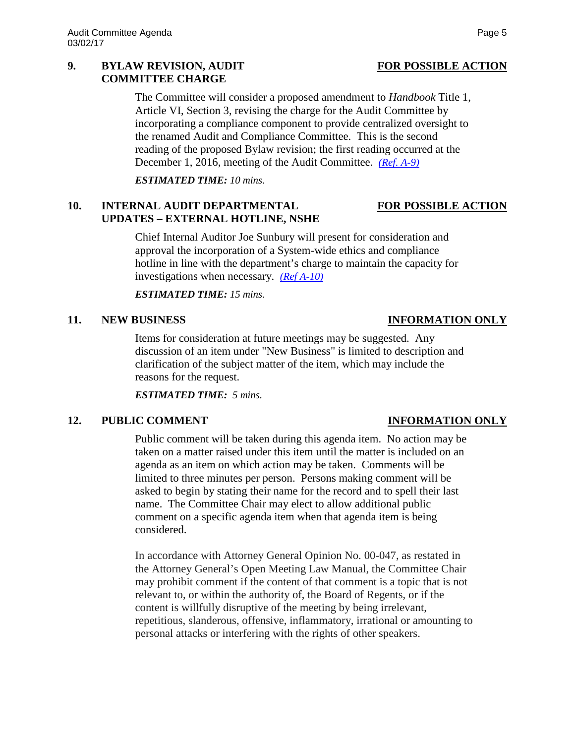### **9. BYLAW REVISION, AUDIT FOR POSSIBLE ACTION COMMITTEE CHARGE**

The Committee will consider a proposed amendment to *Handbook* Title 1, Article VI, Section 3, revising the charge for the Audit Committee by incorporating a compliance component to provide centralized oversight to the renamed Audit and Compliance Committee. This is the second reading of the proposed Bylaw revision; the first reading occurred at the December 1, 2016, meeting of the Audit Committee. *[\(Ref. A-9\)](http://system.nevada.edu/tasks/sites/Nshe/assets/File/BoardOfRegents/Agendas/2017/mar-mtgs/audit-refs/A-9.pdf)*

*ESTIMATED TIME: 10 mins.*

# **10. INTERNAL AUDIT DEPARTMENTAL FOR POSSIBLE ACTION UPDATES – EXTERNAL HOTLINE, NSHE**

Chief Internal Auditor Joe Sunbury will present for consideration and approval the incorporation of a System-wide ethics and compliance hotline in line with the department's charge to maintain the capacity for investigations when necessary. *[\(Ref A-10\)](http://system.nevada.edu/tasks/sites/Nshe/assets/File/BoardOfRegents/Agendas/2017/mar-mtgs/audit-refs/A-10.pdf)*

*ESTIMATED TIME: 15 mins.*

## **11. NEW BUSINESS INFORMATION ONLY**

Items for consideration at future meetings may be suggested. Any discussion of an item under "New Business" is limited to description and clarification of the subject matter of the item, which may include the reasons for the request.

*ESTIMATED TIME: 5 mins.*

# **12. PUBLIC COMMENT INFORMATION ONLY**

Public comment will be taken during this agenda item. No action may be taken on a matter raised under this item until the matter is included on an agenda as an item on which action may be taken. Comments will be limited to three minutes per person. Persons making comment will be asked to begin by stating their name for the record and to spell their last name. The Committee Chair may elect to allow additional public comment on a specific agenda item when that agenda item is being considered.

In accordance with Attorney General Opinion No. 00-047, as restated in the Attorney General's Open Meeting Law Manual, the Committee Chair may prohibit comment if the content of that comment is a topic that is not relevant to, or within the authority of, the Board of Regents, or if the content is willfully disruptive of the meeting by being irrelevant, repetitious, slanderous, offensive, inflammatory, irrational or amounting to personal attacks or interfering with the rights of other speakers.